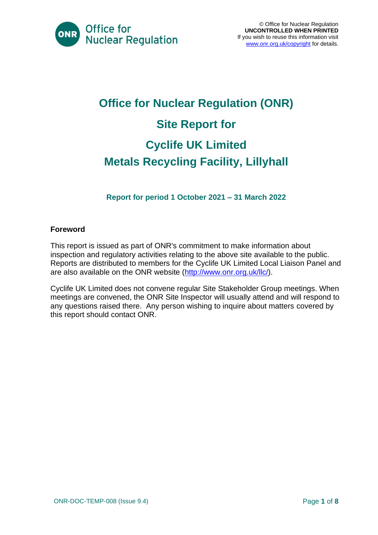

# **Office for Nuclear Regulation (ONR) Site Report for Cyclife UK Limited Metals Recycling Facility, Lillyhall**

**Report for period 1 October 2021 – 31 March 2022**

#### **Foreword**

This report is issued as part of ONR's commitment to make information about inspection and regulatory activities relating to the above site available to the public. Reports are distributed to members for the Cyclife UK Limited Local Liaison Panel and are also available on the ONR website [\(http://www.onr.org.uk/llc/\)](http://www.onr.org.uk/llc/).

Cyclife UK Limited does not convene regular Site Stakeholder Group meetings. When meetings are convened, the ONR Site Inspector will usually attend and will respond to any questions raised there. Any person wishing to inquire about matters covered by this report should contact ONR.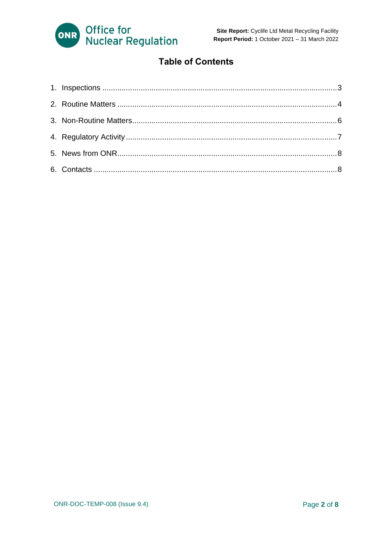

#### **Table of Contents**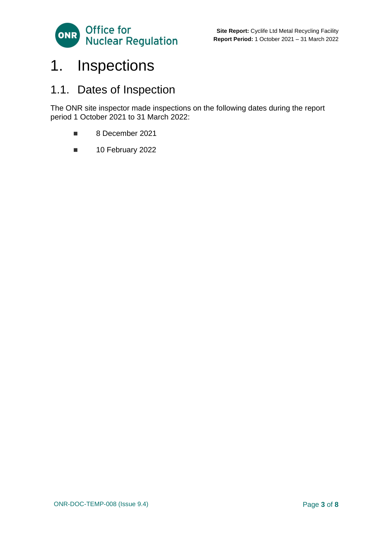

## <span id="page-2-0"></span>1. Inspections

### 1.1. Dates of Inspection

The ONR site inspector made inspections on the following dates during the report period 1 October 2021 to 31 March 2022:

- 8 December 2021
- 10 February 2022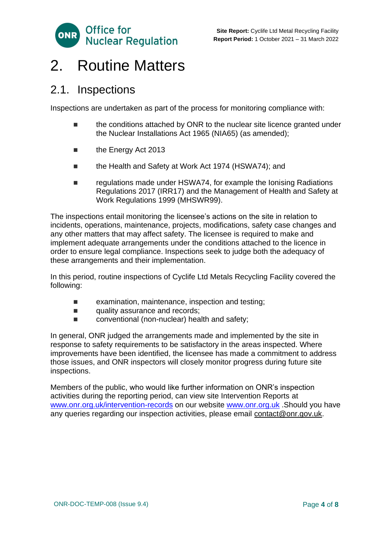

### <span id="page-3-0"></span>2. Routine Matters

#### 2.1. Inspections

Inspections are undertaken as part of the process for monitoring compliance with:

- the conditions attached by ONR to the nuclear site licence granted under the Nuclear Installations Act 1965 (NIA65) (as amended);
- the Energy Act 2013
- the Health and Safety at Work Act 1974 (HSWA74); and
- regulations made under HSWA74, for example the Ionising Radiations Regulations 2017 (IRR17) and the Management of Health and Safety at Work Regulations 1999 (MHSWR99).

The inspections entail monitoring the licensee's actions on the site in relation to incidents, operations, maintenance, projects, modifications, safety case changes and any other matters that may affect safety. The licensee is required to make and implement adequate arrangements under the conditions attached to the licence in order to ensure legal compliance. Inspections seek to judge both the adequacy of these arrangements and their implementation.

In this period, routine inspections of Cyclife Ltd Metals Recycling Facility covered the following:

- examination, maintenance, inspection and testing;
- quality assurance and records;
- conventional (non-nuclear) health and safety;

In general, ONR judged the arrangements made and implemented by the site in response to safety requirements to be satisfactory in the areas inspected. Where improvements have been identified, the licensee has made a commitment to address those issues, and ONR inspectors will closely monitor progress during future site inspections.

Members of the public, who would like further information on ONR's inspection activities during the reporting period, can view site Intervention Reports at [www.onr.org.uk/intervention-records](http://www.onr.org.uk./intervention-records) on our website [www.onr.org.uk](http://www.onr.org.uk/) .Should you have any queries regarding our inspection activities, please email [contact@onr.gov.uk.](mailto:contact@onr.gov.uk)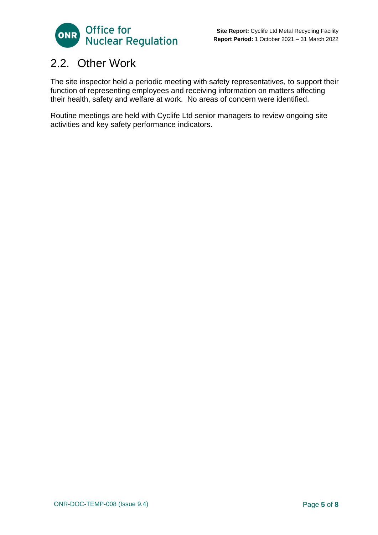

### 2.2. Other Work

The site inspector held a periodic meeting with safety representatives, to support their function of representing employees and receiving information on matters affecting their health, safety and welfare at work. No areas of concern were identified.

Routine meetings are held with Cyclife Ltd senior managers to review ongoing site activities and key safety performance indicators.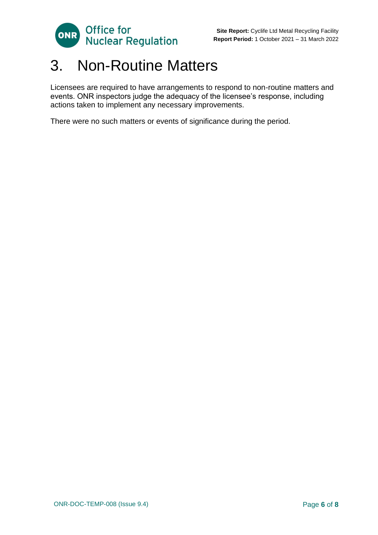

### <span id="page-5-0"></span>3. Non-Routine Matters

Licensees are required to have arrangements to respond to non-routine matters and events. ONR inspectors judge the adequacy of the licensee's response, including actions taken to implement any necessary improvements.

There were no such matters or events of significance during the period.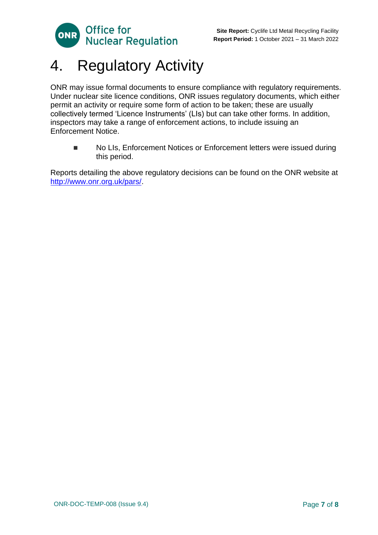

### <span id="page-6-0"></span>4. Regulatory Activity

ONR may issue formal documents to ensure compliance with regulatory requirements. Under nuclear site licence conditions, ONR issues regulatory documents, which either permit an activity or require some form of action to be taken; these are usually collectively termed 'Licence Instruments' (LIs) but can take other forms. In addition, inspectors may take a range of enforcement actions, to include issuing an Enforcement Notice.

■ No LIs, Enforcement Notices or Enforcement letters were issued during this period.

Reports detailing the above regulatory decisions can be found on the ONR website at [http://www.onr.org.uk/pars/.](http://www.onr.org.uk/pars/)